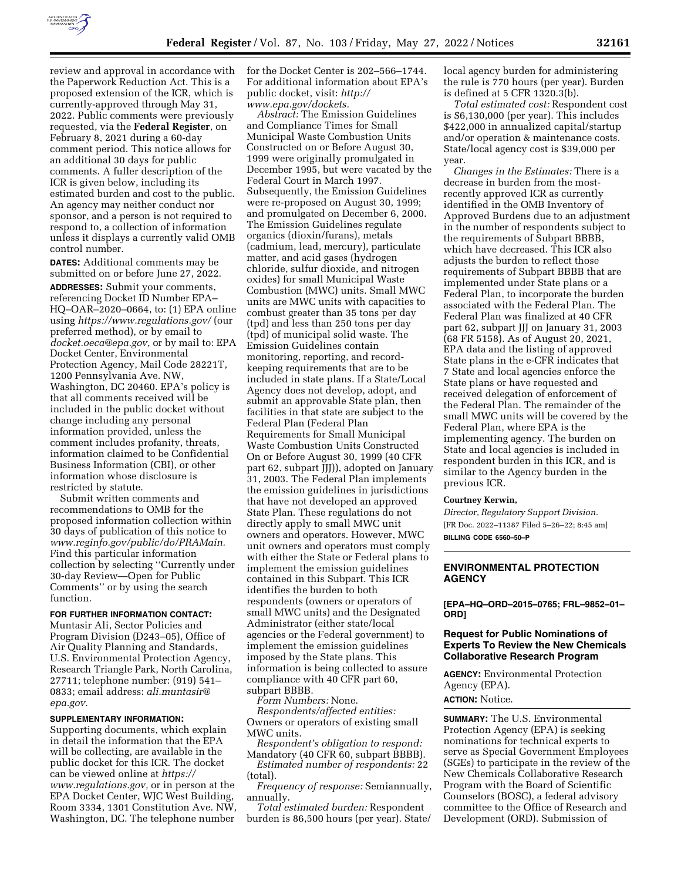

review and approval in accordance with the Paperwork Reduction Act. This is a proposed extension of the ICR, which is currently-approved through May 31, 2022. Public comments were previously requested, via the **Federal Register**, on February 8, 2021 during a 60-day comment period. This notice allows for an additional 30 days for public comments. A fuller description of the ICR is given below, including its estimated burden and cost to the public. An agency may neither conduct nor sponsor, and a person is not required to respond to, a collection of information unless it displays a currently valid OMB control number.

**DATES:** Additional comments may be submitted on or before June 27, 2022.

**ADDRESSES:** Submit your comments, referencing Docket ID Number EPA– HQ–OAR–2020–0664, to: (1) EPA online using *<https://www.regulations.gov/>*(our preferred method), or by email to *[docket.oeca@epa.gov,](mailto:docket.oeca@epa.gov)* or by mail to: EPA Docket Center, Environmental Protection Agency, Mail Code 28221T, 1200 Pennsylvania Ave. NW, Washington, DC 20460. EPA's policy is that all comments received will be included in the public docket without change including any personal information provided, unless the comment includes profanity, threats, information claimed to be Confidential Business Information (CBI), or other information whose disclosure is restricted by statute.

Submit written comments and recommendations to OMB for the proposed information collection within 30 days of publication of this notice to *[www.reginfo.gov/public/do/PRAMain.](http://www.reginfo.gov/public/do/PRAMain)*  Find this particular information collection by selecting ''Currently under 30-day Review—Open for Public Comments'' or by using the search function.

# **FOR FURTHER INFORMATION CONTACT:**

Muntasir Ali, Sector Policies and Program Division (D243–05), Office of Air Quality Planning and Standards, U.S. Environmental Protection Agency, Research Triangle Park, North Carolina, 27711; telephone number: (919) 541– 0833; email address: *[ali.muntasir@](mailto:ali.muntasir@epa.gov) [epa.gov.](mailto:ali.muntasir@epa.gov)* 

#### **SUPPLEMENTARY INFORMATION:**

Supporting documents, which explain in detail the information that the EPA will be collecting, are available in the public docket for this ICR. The docket can be viewed online at *[https://](https://www.regulations.gov) [www.regulations.gov,](https://www.regulations.gov)* or in person at the EPA Docket Center, WJC West Building, Room 3334, 1301 Constitution Ave. NW, Washington, DC. The telephone number

for the Docket Center is 202–566–1744. For additional information about EPA's public docket, visit: *[http://](http://www.epa.gov/dockets) [www.epa.gov/dockets.](http://www.epa.gov/dockets)* 

*Abstract:* The Emission Guidelines and Compliance Times for Small Municipal Waste Combustion Units Constructed on or Before August 30, 1999 were originally promulgated in December 1995, but were vacated by the Federal Court in March 1997. Subsequently, the Emission Guidelines were re-proposed on August 30, 1999; and promulgated on December 6, 2000. The Emission Guidelines regulate organics (dioxin/furans), metals (cadmium, lead, mercury), particulate matter, and acid gases (hydrogen chloride, sulfur dioxide, and nitrogen oxides) for small Municipal Waste Combustion (MWC) units. Small MWC units are MWC units with capacities to combust greater than 35 tons per day (tpd) and less than 250 tons per day (tpd) of municipal solid waste. The Emission Guidelines contain monitoring, reporting, and recordkeeping requirements that are to be included in state plans. If a State/Local Agency does not develop, adopt, and submit an approvable State plan, then facilities in that state are subject to the Federal Plan (Federal Plan Requirements for Small Municipal Waste Combustion Units Constructed On or Before August 30, 1999 (40 CFR part 62, subpart JJJ)), adopted on January 31, 2003. The Federal Plan implements the emission guidelines in jurisdictions that have not developed an approved State Plan. These regulations do not directly apply to small MWC unit owners and operators. However, MWC unit owners and operators must comply with either the State or Federal plans to implement the emission guidelines contained in this Subpart. This ICR identifies the burden to both respondents (owners or operators of small MWC units) and the Designated Administrator (either state/local agencies or the Federal government) to implement the emission guidelines imposed by the State plans. This information is being collected to assure compliance with 40 CFR part 60, subpart BBBB.

*Form Numbers:* None.

*Respondents/affected entities:*  Owners or operators of existing small MWC units.

*Respondent's obligation to respond:*  Mandatory (40 CFR 60, subpart BBBB).

*Estimated number of respondents:* 22 (total).

*Frequency of response:* Semiannually, annually.

*Total estimated burden:* Respondent burden is 86,500 hours (per year). State/ local agency burden for administering the rule is 770 hours (per year). Burden is defined at 5 CFR 1320.3(b).

*Total estimated cost:* Respondent cost is \$6,130,000 (per year). This includes \$422,000 in annualized capital/startup and/or operation & maintenance costs. State/local agency cost is \$39,000 per year.

*Changes in the Estimates:* There is a decrease in burden from the mostrecently approved ICR as currently identified in the OMB Inventory of Approved Burdens due to an adjustment in the number of respondents subject to the requirements of Subpart BBBB, which have decreased. This ICR also adjusts the burden to reflect those requirements of Subpart BBBB that are implemented under State plans or a Federal Plan, to incorporate the burden associated with the Federal Plan. The Federal Plan was finalized at 40 CFR part 62, subpart JJJ on January 31, 2003 (68 FR 5158). As of August 20, 2021, EPA data and the listing of approved State plans in the e-CFR indicates that 7 State and local agencies enforce the State plans or have requested and received delegation of enforcement of the Federal Plan. The remainder of the small MWC units will be covered by the Federal Plan, where EPA is the implementing agency. The burden on State and local agencies is included in respondent burden in this ICR, and is similar to the Agency burden in the previous ICR.

#### **Courtney Kerwin,**

*Director, Regulatory Support Division.*  [FR Doc. 2022–11387 Filed 5–26–22; 8:45 am] **BILLING CODE 6560–50–P** 

## **ENVIRONMENTAL PROTECTION AGENCY**

**[EPA–HQ–ORD–2015–0765; FRL–9852–01– ORD]** 

# **Request for Public Nominations of Experts To Review the New Chemicals Collaborative Research Program**

**AGENCY:** Environmental Protection Agency (EPA). **ACTION:** Notice.

**SUMMARY:** The U.S. Environmental Protection Agency (EPA) is seeking nominations for technical experts to serve as Special Government Employees (SGEs) to participate in the review of the New Chemicals Collaborative Research Program with the Board of Scientific Counselors (BOSC), a federal advisory committee to the Office of Research and Development (ORD). Submission of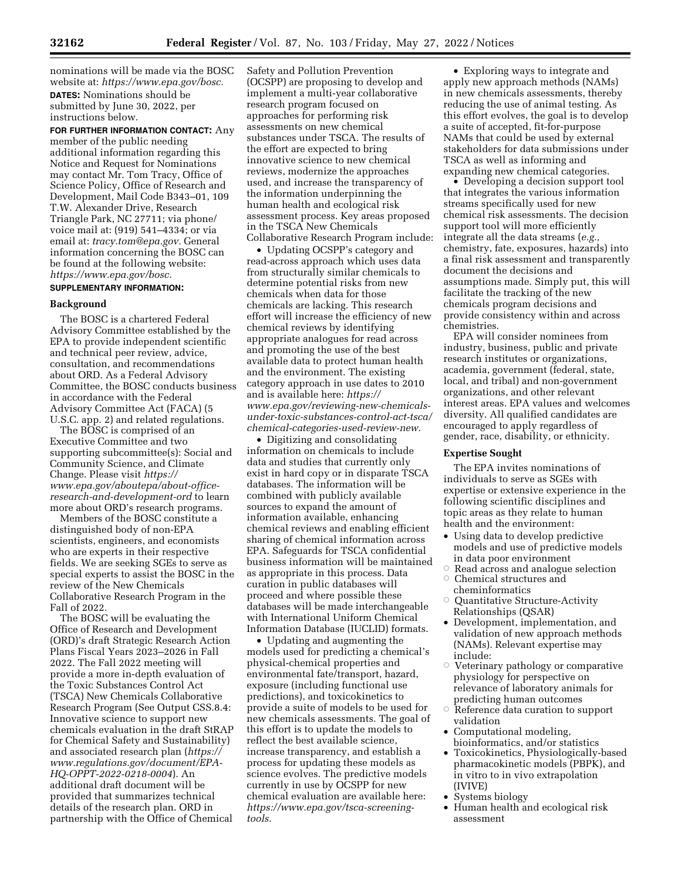nominations will be made via the BOSC website at: *[https://www.epa.gov/bosc.](https://www.epa.gov/bosc)*  **DATES:** Nominations should be submitted by June 30, 2022, per instructions below.

**FOR FURTHER INFORMATION CONTACT:** Any member of the public needing additional information regarding this Notice and Request for Nominations may contact Mr. Tom Tracy, Office of Science Policy, Office of Research and Development, Mail Code B343–01, 109 T.W. Alexander Drive, Research Triangle Park, NC 27711; via phone/ voice mail at: (919) 541–4334; or via email at: *[tracy.tom@epa.gov.](mailto:tracy.tom@epa.gov)* General information concerning the BOSC can be found at the following website: *[https://www.epa.gov/bosc.](https://www.epa.gov/bosc)* 

## **SUPPLEMENTARY INFORMATION:**

## **Background**

The BOSC is a chartered Federal Advisory Committee established by the EPA to provide independent scientific and technical peer review, advice, consultation, and recommendations about ORD. As a Federal Advisory Committee, the BOSC conducts business in accordance with the Federal Advisory Committee Act (FACA) (5 U.S.C. app. 2) and related regulations.

The BOSC is comprised of an Executive Committee and two supporting subcommittee(s): Social and Community Science, and Climate Change. Please visit *[https://](https://www.epa.gov/aboutepa/about-office-research-and-development-ord) [www.epa.gov/aboutepa/about-office](https://www.epa.gov/aboutepa/about-office-research-and-development-ord)[research-and-development-ord](https://www.epa.gov/aboutepa/about-office-research-and-development-ord)* to learn more about ORD's research programs.

Members of the BOSC constitute a distinguished body of non-EPA scientists, engineers, and economists who are experts in their respective fields. We are seeking SGEs to serve as special experts to assist the BOSC in the review of the New Chemicals Collaborative Research Program in the Fall of 2022.

The BOSC will be evaluating the Office of Research and Development (ORD)'s draft Strategic Research Action Plans Fiscal Years 2023–2026 in Fall 2022. The Fall 2022 meeting will provide a more in-depth evaluation of the Toxic Substances Control Act (TSCA) New Chemicals Collaborative Research Program (See Output CSS.8.4: Innovative science to support new chemicals evaluation in the draft StRAP for Chemical Safety and Sustainability) and associated research plan (*[https://](https://www.regulations.gov/document/EPA-HQ-OPPT-2022-0218-0004) [www.regulations.gov/document/EPA-](https://www.regulations.gov/document/EPA-HQ-OPPT-2022-0218-0004)[HQ-OPPT-2022-0218-0004](https://www.regulations.gov/document/EPA-HQ-OPPT-2022-0218-0004)*). An additional draft document will be provided that summarizes technical details of the research plan. ORD in partnership with the Office of Chemical

Safety and Pollution Prevention (OCSPP) are proposing to develop and implement a multi-year collaborative research program focused on approaches for performing risk assessments on new chemical substances under TSCA. The results of the effort are expected to bring innovative science to new chemical reviews, modernize the approaches used, and increase the transparency of the information underpinning the human health and ecological risk assessment process. Key areas proposed in the TSCA New Chemicals Collaborative Research Program include:

• Updating OCSPP's category and read-across approach which uses data from structurally similar chemicals to determine potential risks from new chemicals when data for those chemicals are lacking. This research effort will increase the efficiency of new chemical reviews by identifying appropriate analogues for read across and promoting the use of the best available data to protect human health and the environment. The existing category approach in use dates to 2010 and is available here: *[https://](https://www.epa.gov/reviewing-new-chemicals-under-toxic-substances-control-act-tsca/chemical-categories-used-review-new) [www.epa.gov/reviewing-new-chemicals](https://www.epa.gov/reviewing-new-chemicals-under-toxic-substances-control-act-tsca/chemical-categories-used-review-new)[under-toxic-substances-control-act-tsca/](https://www.epa.gov/reviewing-new-chemicals-under-toxic-substances-control-act-tsca/chemical-categories-used-review-new)  [chemical-categories-used-review-new](https://www.epa.gov/reviewing-new-chemicals-under-toxic-substances-control-act-tsca/chemical-categories-used-review-new)*.

• Digitizing and consolidating information on chemicals to include data and studies that currently only exist in hard copy or in disparate TSCA databases. The information will be combined with publicly available sources to expand the amount of information available, enhancing chemical reviews and enabling efficient sharing of chemical information across EPA. Safeguards for TSCA confidential business information will be maintained as appropriate in this process. Data curation in public databases will proceed and where possible these databases will be made interchangeable with International Uniform Chemical Information Database (IUCLID) formats.

• Updating and augmenting the models used for predicting a chemical's physical-chemical properties and environmental fate/transport, hazard, exposure (including functional use predictions), and toxicokinetics to provide a suite of models to be used for new chemicals assessments. The goal of this effort is to update the models to reflect the best available science, increase transparency, and establish a process for updating these models as science evolves. The predictive models currently in use by OCSPP for new chemical evaluation are available here: *[https://www.epa.gov/tsca-screening](https://www.epa.gov/tsca-screening-tools)[tools](https://www.epa.gov/tsca-screening-tools)*.

• Exploring ways to integrate and apply new approach methods (NAMs) in new chemicals assessments, thereby reducing the use of animal testing. As this effort evolves, the goal is to develop a suite of accepted, fit-for-purpose NAMs that could be used by external stakeholders for data submissions under TSCA as well as informing and expanding new chemical categories.

• Developing a decision support tool that integrates the various information streams specifically used for new chemical risk assessments. The decision support tool will more efficiently integrate all the data streams (*e.g.,*  chemistry, fate, exposures, hazards) into a final risk assessment and transparently document the decisions and assumptions made. Simply put, this will facilitate the tracking of the new chemicals program decisions and provide consistency within and across chemistries.

EPA will consider nominees from industry, business, public and private research institutes or organizations, academia, government (federal, state, local, and tribal) and non-government organizations, and other relevant interest areas. EPA values and welcomes diversity. All qualified candidates are encouraged to apply regardless of gender, race, disability, or ethnicity.

#### **Expertise Sought**

The EPA invites nominations of individuals to serve as SGEs with expertise or extensive experience in the following scientific disciplines and topic areas as they relate to human health and the environment:

- Using data to develop predictive models and use of predictive models in data poor environment
- $\circ$  Read across and analogue selection
- Æ Chemical structures and cheminformatics
- Æ Quantitative Structure-Activity Relationships (QSAR)
- Development, implementation, and validation of new approach methods (NAMs). Relevant expertise may include:
- Æ Veterinary pathology or comparative physiology for perspective on relevance of laboratory animals for predicting human outcomes
- $\circ$  Reference data curation to support validation
- Computational modeling, bioinformatics, and/or statistics
- Toxicokinetics, Physiologically-based pharmacokinetic models (PBPK), and in vitro to in vivo extrapolation (IVIVE)
- Systems biology
- Human health and ecological risk assessment